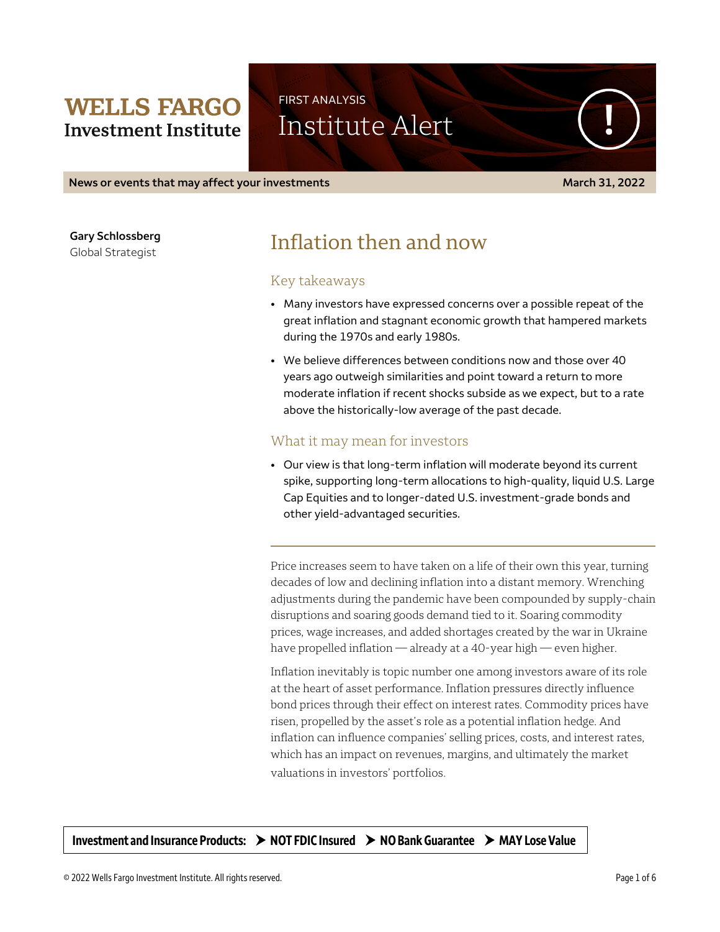## **WELLS FARGO Investment Institute**

# FIRST ANALYSIS Institute Alert

**News or events that may affect your investments March 31, 2022**

**Gary Schlossberg**

Global Strategist

# Inflation then and now

#### Key takeaways

- Many investors have expressed concerns over a possible repeat of the great inflation and stagnant economic growth that hampered markets during the 1970s and early 1980s.
- We believe differences between conditions now and those over 40 years ago outweigh similarities and point toward a return to more moderate inflation if recent shocks subside as we expect, but to a rate above the historically-low average of the past decade.

### What it may mean for investors

• Our view is that long-term inflation will moderate beyond its current spike, supporting long-term allocations to high-quality, liquid U.S. Large Cap Equities and to longer-dated U.S. investment-grade bonds and other yield-advantaged securities.

Price increases seem to have taken on a life of their own this year, turning decades of low and declining inflation into a distant memory. Wrenching adjustments during the pandemic have been compounded by supply-chain disruptions and soaring goods demand tied to it. Soaring commodity prices, wage increases, and added shortages created by the war in Ukraine have propelled inflation — already at a 40-year high — even higher.

Inflation inevitably is topic number one among investors aware of its role at the heart of asset performance. Inflation pressures directly influence bond prices through their effect on interest rates. Commodity prices have risen, propelled by the asset's role as a potential inflation hedge. And inflation can influence companies' selling prices, costs, and interest rates, which has an impact on revenues, margins, and ultimately the market valuations in investors' portfolios.

**Investment and Insurance Products: NOT FDIC Insured NO Bank Guarantee MAY Lose Value**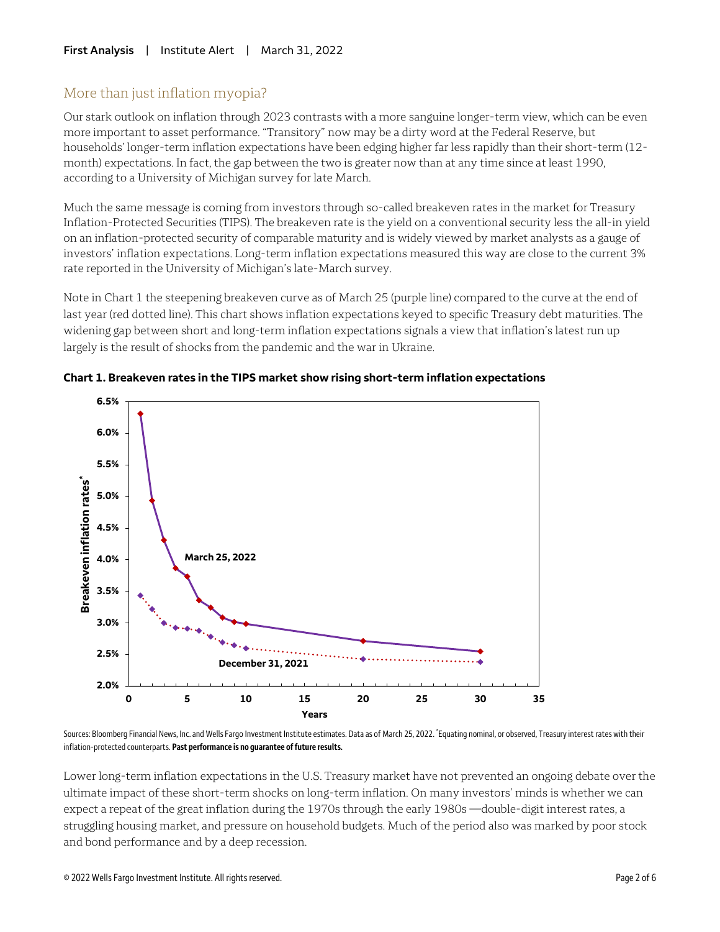### More than just inflation myopia?

Our stark outlook on inflation through 2023 contrasts with a more sanguine longer-term view, which can be even more important to asset performance. "Transitory" now may be a dirty word at the Federal Reserve, but households' longer-term inflation expectations have been edging higher far less rapidly than their short-term (12 month) expectations. In fact, the gap between the two is greater now than at any time since at least 1990, according to a University of Michigan survey for late March.

Much the same message is coming from investors through so-called breakeven rates in the market for Treasury Inflation-Protected Securities (TIPS). The breakeven rate is the yield on a conventional security less the all-in yield on an inflation-protected security of comparable maturity and is widely viewed by market analysts as a gauge of investors' inflation expectations. Long-term inflation expectations measured this way are close to the current 3% rate reported in the University of Michigan's late-March survey.

Note in Chart 1 the steepening breakeven curve as of March 25 (purple line) compared to the curve at the end of last year (red dotted line). This chart shows inflation expectations keyed to specific Treasury debt maturities. The widening gap between short and long-term inflation expectations signals a view that inflation's latest run up largely is the result of shocks from the pandemic and the war in Ukraine.





Sources: Bloomberg Financial News, Inc. and Wells Fargo Investment Institute estimates. Data as of March 25, 2022. \* Equating nominal, or observed, Treasury interest rates with their  inflation-protected counterparts. **Past performance is no guarantee of future results.** 

Lower long-term inflation expectations in the U.S. Treasury market have not prevented an ongoing debate over the ultimate impact of these short-term shocks on long-term inflation. On many investors' minds is whether we can expect a repeat of the great inflation during the 1970s through the early 1980s —double-digit interest rates, a struggling housing market, and pressure on household budgets. Much of the period also was marked by poor stock and bond performance and by a deep recession.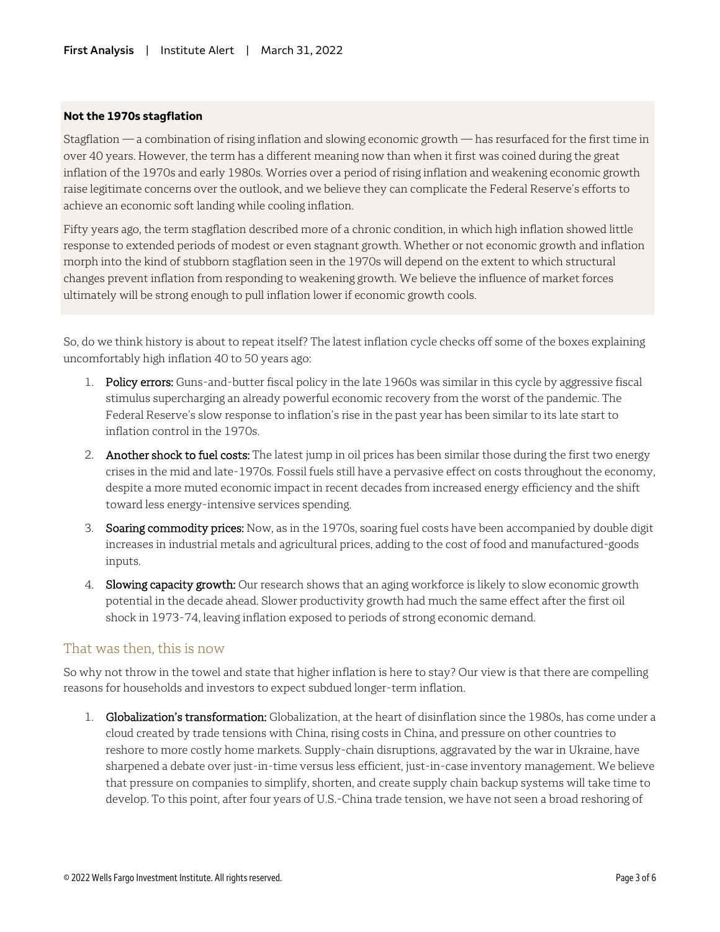#### **Not the 1970s stagflation**

Stagflation — a combination of rising inflation and slowing economic growth — has resurfaced for the first time in over 40 years. However, the term has a different meaning now than when it first was coined during the great inflation of the 1970s and early 1980s. Worries over a period of rising inflation and weakening economic growth raise legitimate concerns over the outlook, and we believe they can complicate the Federal Reserve's efforts to achieve an economic soft landing while cooling inflation.

Fifty years ago, the term stagflation described more of a chronic condition, in which high inflation showed little response to extended periods of modest or even stagnant growth. Whether or not economic growth and inflation morph into the kind of stubborn stagflation seen in the 1970s will depend on the extent to which structural changes prevent inflation from responding to weakening growth. We believe the influence of market forces ultimately will be strong enough to pull inflation lower if economic growth cools.

So, do we think history is about to repeat itself? The latest inflation cycle checks off some of the boxes explaining uncomfortably high inflation 40 to 50 years ago:

- 1. Policy errors: Guns-and-butter fiscal policy in the late 1960s was similar in this cycle by aggressive fiscal stimulus supercharging an already powerful economic recovery from the worst of the pandemic. The Federal Reserve's slow response to inflation's rise in the past year has been similar to its late start to inflation control in the 1970s.
- 2. Another shock to fuel costs: The latest jump in oil prices has been similar those during the first two energy crises in the mid and late-1970s. Fossil fuels still have a pervasive effect on costs throughout the economy, despite a more muted economic impact in recent decades from increased energy efficiency and the shift toward less energy-intensive services spending.
- 3. Soaring commodity prices: Now, as in the 1970s, soaring fuel costs have been accompanied by double digit increases in industrial metals and agricultural prices, adding to the cost of food and manufactured-goods inputs.
- 4. Slowing capacity growth: Our research shows that an aging workforce is likely to slow economic growth potential in the decade ahead. Slower productivity growth had much the same effect after the first oil shock in 1973-74, leaving inflation exposed to periods of strong economic demand.

#### That was then, this is now

So why not throw in the towel and state that higher inflation is here to stay? Our view is that there are compelling reasons for households and investors to expect subdued longer-term inflation.

1. Globalization's transformation: Globalization, at the heart of disinflation since the 1980s, has come under a cloud created by trade tensions with China, rising costs in China, and pressure on other countries to reshore to more costly home markets. Supply-chain disruptions, aggravated by the war in Ukraine, have sharpened a debate over just-in-time versus less efficient, just-in-case inventory management. We believe that pressure on companies to simplify, shorten, and create supply chain backup systems will take time to develop. To this point, after four years of U.S.-China trade tension, we have not seen a broad reshoring of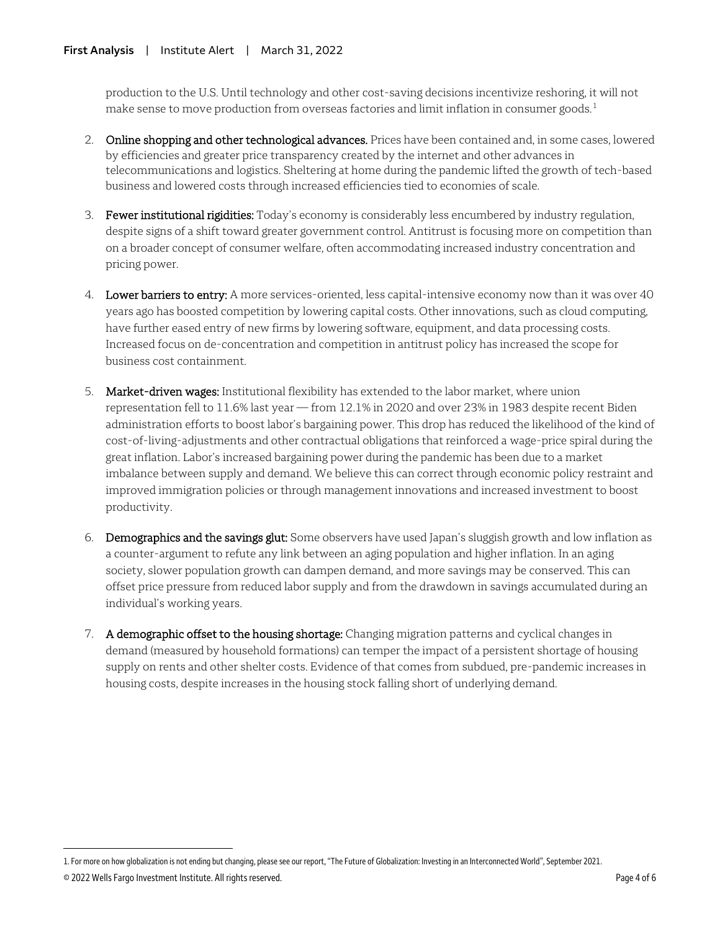production to the U.S. Until technology and other cost-saving decisions incentivize reshoring, it will not make sense to move production from overseas factories and limit inflation in consumer goods. $^1$  $^1$ 

- 2. Online shopping and other technological advances. Prices have been contained and, in some cases, lowered by efficiencies and greater price transparency created by the internet and other advances in telecommunications and logistics. Sheltering at home during the pandemic lifted the growth of tech-based business and lowered costs through increased efficiencies tied to economies of scale.
- 3. Fewer institutional rigidities: Today's economy is considerably less encumbered by industry regulation, despite signs of a shift toward greater government control. Antitrust is focusing more on competition than on a broader concept of consumer welfare, often accommodating increased industry concentration and pricing power.
- 4. Lower barriers to entry: A more services-oriented, less capital-intensive economy now than it was over 40 years ago has boosted competition by lowering capital costs. Other innovations, such as cloud computing, have further eased entry of new firms by lowering software, equipment, and data processing costs. Increased focus on de-concentration and competition in antitrust policy has increased the scope for business cost containment.
- 5. Market-driven wages: Institutional flexibility has extended to the labor market, where union representation fell to 11.6% last year — from 12.1% in 2020 and over 23% in 1983 despite recent Biden administration efforts to boost labor's bargaining power. This drop has reduced the likelihood of the kind of cost-of-living-adjustments and other contractual obligations that reinforced a wage-price spiral during the great inflation. Labor's increased bargaining power during the pandemic has been due to a market imbalance between supply and demand. We believe this can correct through economic policy restraint and improved immigration policies or through management innovations and increased investment to boost productivity.
- 6. Demographics and the savings glut: Some observers have used Japan's sluggish growth and low inflation as a counter-argument to refute any link between an aging population and higher inflation. In an aging society, slower population growth can dampen demand, and more savings may be conserved. This can offset price pressure from reduced labor supply and from the drawdown in savings accumulated during an individual's working years.
- 7. A demographic offset to the housing shortage: Changing migration patterns and cyclical changes in demand (measured by household formations) can temper the impact of a persistent shortage of housing supply on rents and other shelter costs. Evidence of that comes from subdued, pre-pandemic increases in housing costs, despite increases in the housing stock falling short of underlying demand.

 $\overline{a}$ 

<span id="page-3-0"></span><sup>1.</sup> For more on how globalization is not ending but changing, please see our report, "The Future of Globalization: Investing in an Interconnected World", September 2021.

<sup>© 2022</sup> Wells Fargo Investment Institute. All rights reserved. Page 4 of 6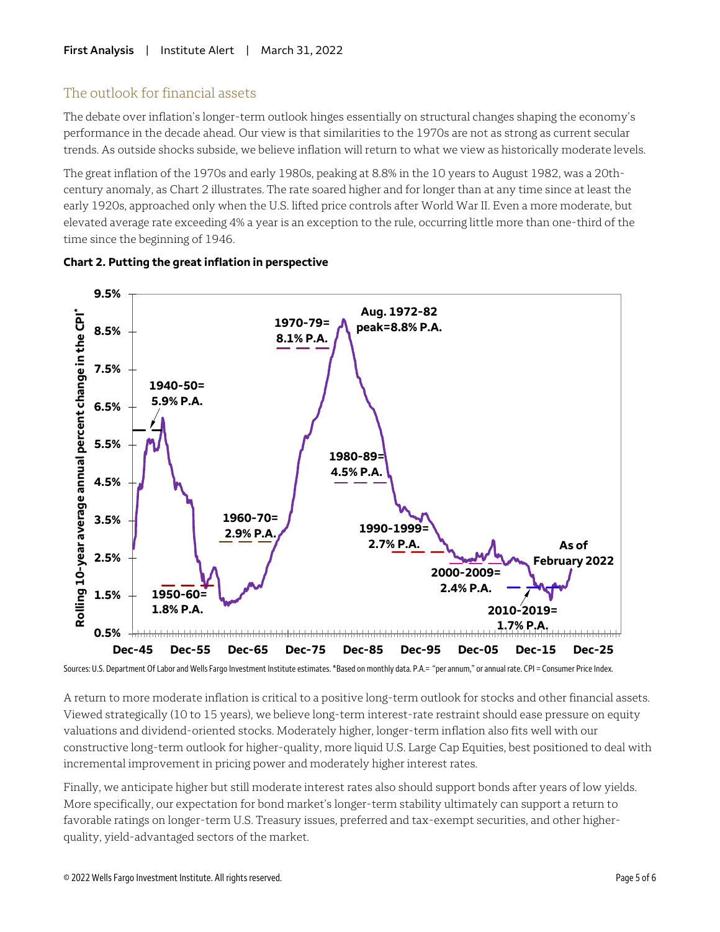### The outlook for financial assets

The debate over inflation's longer-term outlook hinges essentially on structural changes shaping the economy's performance in the decade ahead. Our view is that similarities to the 1970s are not as strong as current secular trends. As outside shocks subside, we believe inflation will return to what we view as historically moderate levels.

The great inflation of the 1970s and early 1980s, peaking at 8.8% in the 10 years to August 1982, was a 20thcentury anomaly, as Chart 2 illustrates. The rate soared higher and for longer than at any time since at least the early 1920s, approached only when the U.S. lifted price controls after World War II. Even a more moderate, but elevated average rate exceeding 4% a year is an exception to the rule, occurring little more than one-third of the time since the beginning of 1946.



#### **Chart 2. Putting the great inflation in perspective**

Sources: U.S. Department Of Labor and Wells Fargo Investment Institute estimates.\*Based on monthly data. P.A.= "per annum," or annual rate. CPI = Consumer Price Index. 

A return to more moderate inflation is critical to a positive long-term outlook for stocks and other financial assets. Viewed strategically (10 to 15 years), we believe long-term interest-rate restraint should ease pressure on equity valuations and dividend-oriented stocks. Moderately higher, longer-term inflation also fits well with our constructive long-term outlook for higher-quality, more liquid U.S. Large Cap Equities, best positioned to deal with incremental improvement in pricing power and moderately higher interest rates.

Finally, we anticipate higher but still moderate interest rates also should support bonds after years of low yields. More specifically, our expectation for bond market's longer-term stability ultimately can support a return to favorable ratings on longer-term U.S. Treasury issues, preferred and tax-exempt securities, and other higherquality, yield-advantaged sectors of the market.